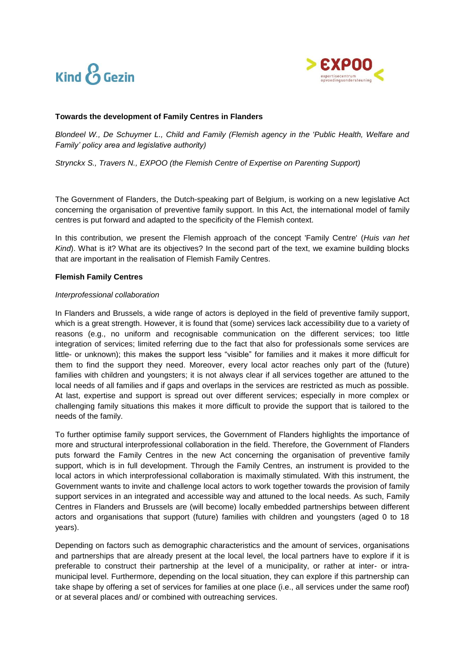



## **Towards the development of Family Centres in Flanders**

*Blondeel W., De Schuymer L., Child and Family (Flemish agency in the 'Public Health, Welfare and Family' policy area and legislative authority)*

*Strynckx S., Travers N., EXPOO (the Flemish Centre of Expertise on Parenting Support)*

The Government of Flanders, the Dutch-speaking part of Belgium, is working on a new legislative Act concerning the organisation of preventive family support. In this Act, the international model of family centres is put forward and adapted to the specificity of the Flemish context.

In this contribution, we present the Flemish approach of the concept 'Family Centre' (*Huis van het Kind*). What is it? What are its objectives? In the second part of the text, we examine building blocks that are important in the realisation of Flemish Family Centres.

## **Flemish Family Centres**

### *Interprofessional collaboration*

In Flanders and Brussels, a wide range of actors is deployed in the field of preventive family support, which is a great strength. However, it is found that (some) services lack accessibility due to a variety of reasons (e.g., no uniform and recognisable communication on the different services; too little integration of services; limited referring due to the fact that also for professionals some services are little- or unknown); this makes the support less "visible" for families and it makes it more difficult for them to find the support they need. Moreover, every local actor reaches only part of the (future) families with children and youngsters; it is not always clear if all services together are attuned to the local needs of all families and if gaps and overlaps in the services are restricted as much as possible. At last, expertise and support is spread out over different services; especially in more complex or challenging family situations this makes it more difficult to provide the support that is tailored to the needs of the family.

To further optimise family support services, the Government of Flanders highlights the importance of more and structural interprofessional collaboration in the field. Therefore, the Government of Flanders puts forward the Family Centres in the new Act concerning the organisation of preventive family support, which is in full development. Through the Family Centres, an instrument is provided to the local actors in which interprofessional collaboration is maximally stimulated. With this instrument, the Government wants to invite and challenge local actors to work together towards the provision of family support services in an integrated and accessible way and attuned to the local needs. As such, Family Centres in Flanders and Brussels are (will become) locally embedded partnerships between different actors and organisations that support (future) families with children and youngsters (aged 0 to 18 years).

Depending on factors such as demographic characteristics and the amount of services, organisations and partnerships that are already present at the local level, the local partners have to explore if it is preferable to construct their partnership at the level of a municipality, or rather at inter- or intramunicipal level. Furthermore, depending on the local situation, they can explore if this partnership can take shape by offering a set of services for families at one place (i.e., all services under the same roof) or at several places and/ or combined with outreaching services.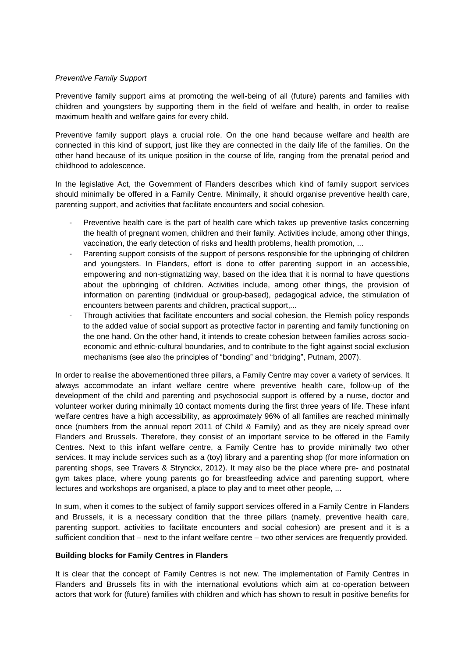## *Preventive Family Support*

Preventive family support aims at promoting the well-being of all (future) parents and families with children and youngsters by supporting them in the field of welfare and health, in order to realise maximum health and welfare gains for every child.

Preventive family support plays a crucial role. On the one hand because welfare and health are connected in this kind of support, just like they are connected in the daily life of the families. On the other hand because of its unique position in the course of life, ranging from the prenatal period and childhood to adolescence.

In the legislative Act, the Government of Flanders describes which kind of family support services should minimally be offered in a Family Centre. Minimally, it should organise preventive health care, parenting support, and activities that facilitate encounters and social cohesion.

- Preventive health care is the part of health care which takes up preventive tasks concerning the health of pregnant women, children and their family. Activities include, among other things, vaccination, the early detection of risks and health problems, health promotion, ...
- Parenting support consists of the support of persons responsible for the upbringing of children and youngsters. In Flanders, effort is done to offer parenting support in an accessible, empowering and non-stigmatizing way, based on the idea that it is normal to have questions about the upbringing of children. Activities include, among other things, the provision of information on parenting (individual or group-based), pedagogical advice, the stimulation of encounters between parents and children, practical support,...
- Through activities that facilitate encounters and social cohesion, the Flemish policy responds to the added value of social support as protective factor in parenting and family functioning on the one hand. On the other hand, it intends to create cohesion between families across socioeconomic and ethnic-cultural boundaries, and to contribute to the fight against social exclusion mechanisms (see also the principles of "bonding" and "bridging", Putnam, 2007).

In order to realise the abovementioned three pillars, a Family Centre may cover a variety of services. It always accommodate an infant welfare centre where preventive health care, follow-up of the development of the child and parenting and psychosocial support is offered by a nurse, doctor and volunteer worker during minimally 10 contact moments during the first three years of life. These infant welfare centres have a high accessibility, as approximately 96% of all families are reached minimally once (numbers from the annual report 2011 of Child & Family) and as they are nicely spread over Flanders and Brussels. Therefore, they consist of an important service to be offered in the Family Centres. Next to this infant welfare centre, a Family Centre has to provide minimally two other services. It may include services such as a (toy) library and a parenting shop (for more information on parenting shops, see Travers & Strynckx, 2012). It may also be the place where pre- and postnatal gym takes place, where young parents go for breastfeeding advice and parenting support, where lectures and workshops are organised, a place to play and to meet other people, ...

In sum, when it comes to the subject of family support services offered in a Family Centre in Flanders and Brussels, it is a necessary condition that the three pillars (namely, preventive health care, parenting support, activities to facilitate encounters and social cohesion) are present and it is a sufficient condition that – next to the infant welfare centre – two other services are frequently provided.

### **Building blocks for Family Centres in Flanders**

It is clear that the concept of Family Centres is not new. The implementation of Family Centres in Flanders and Brussels fits in with the international evolutions which aim at co-operation between actors that work for (future) families with children and which has shown to result in positive benefits for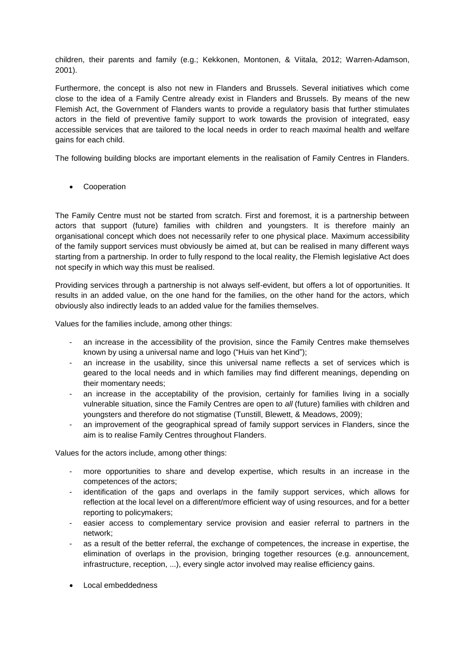children, their parents and family (e.g.; Kekkonen, Montonen, & Viitala, 2012; Warren-Adamson, 2001).

Furthermore, the concept is also not new in Flanders and Brussels. Several initiatives which come close to the idea of a Family Centre already exist in Flanders and Brussels. By means of the new Flemish Act, the Government of Flanders wants to provide a regulatory basis that further stimulates actors in the field of preventive family support to work towards the provision of integrated, easy accessible services that are tailored to the local needs in order to reach maximal health and welfare gains for each child.

The following building blocks are important elements in the realisation of Family Centres in Flanders.

• Cooperation

The Family Centre must not be started from scratch. First and foremost, it is a partnership between actors that support (future) families with children and youngsters. It is therefore mainly an organisational concept which does not necessarily refer to one physical place. Maximum accessibility of the family support services must obviously be aimed at, but can be realised in many different ways starting from a partnership. In order to fully respond to the local reality, the Flemish legislative Act does not specify in which way this must be realised.

Providing services through a partnership is not always self-evident, but offers a lot of opportunities. It results in an added value, on the one hand for the families, on the other hand for the actors, which obviously also indirectly leads to an added value for the families themselves.

Values for the families include, among other things:

- an increase in the accessibility of the provision, since the Family Centres make themselves known by using a universal name and logo ("Huis van het Kind");
- an increase in the usability, since this universal name reflects a set of services which is geared to the local needs and in which families may find different meanings, depending on their momentary needs;
- an increase in the acceptability of the provision, certainly for families living in a socially vulnerable situation, since the Family Centres are open to *all* (future) families with children and youngsters and therefore do not stigmatise (Tunstill, Blewett, & Meadows, 2009);
- an improvement of the geographical spread of family support services in Flanders, since the aim is to realise Family Centres throughout Flanders.

Values for the actors include, among other things:

- more opportunities to share and develop expertise, which results in an increase in the competences of the actors;
- identification of the gaps and overlaps in the family support services, which allows for reflection at the local level on a different/more efficient way of using resources, and for a better reporting to policymakers;
- easier access to complementary service provision and easier referral to partners in the network;
- as a result of the better referral, the exchange of competences, the increase in expertise, the elimination of overlaps in the provision, bringing together resources (e.g. announcement, infrastructure, reception, ...), every single actor involved may realise efficiency gains.
- Local embeddedness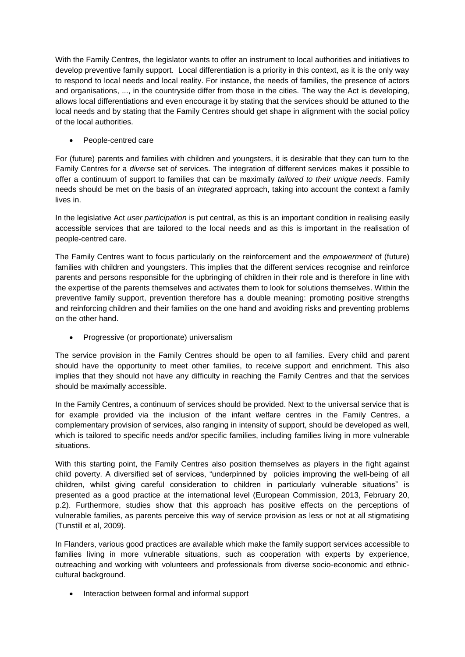With the Family Centres, the legislator wants to offer an instrument to local authorities and initiatives to develop preventive family support. Local differentiation is a priority in this context, as it is the only way to respond to local needs and local reality. For instance, the needs of families, the presence of actors and organisations, ..., in the countryside differ from those in the cities. The way the Act is developing, allows local differentiations and even encourage it by stating that the services should be attuned to the local needs and by stating that the Family Centres should get shape in alignment with the social policy of the local authorities.

People-centred care

For (future) parents and families with children and youngsters, it is desirable that they can turn to the Family Centres for a *diverse* set of services. The integration of different services makes it possible to offer a continuum of support to families that can be maximally *tailored to their unique needs.* Family needs should be met on the basis of an *integrated* approach, taking into account the context a family lives in.

In the legislative Act *user participation* is put central, as this is an important condition in realising easily accessible services that are tailored to the local needs and as this is important in the realisation of people-centred care.

The Family Centres want to focus particularly on the reinforcement and the *empowerment* of (future) families with children and youngsters. This implies that the different services recognise and reinforce parents and persons responsible for the upbringing of children in their role and is therefore in line with the expertise of the parents themselves and activates them to look for solutions themselves. Within the preventive family support, prevention therefore has a double meaning: promoting positive strengths and reinforcing children and their families on the one hand and avoiding risks and preventing problems on the other hand.

Progressive (or proportionate) universalism

The service provision in the Family Centres should be open to all families. Every child and parent should have the opportunity to meet other families, to receive support and enrichment. This also implies that they should not have any difficulty in reaching the Family Centres and that the services should be maximally accessible.

In the Family Centres, a continuum of services should be provided. Next to the universal service that is for example provided via the inclusion of the infant welfare centres in the Family Centres, a complementary provision of services, also ranging in intensity of support, should be developed as well, which is tailored to specific needs and/or specific families, including families living in more vulnerable situations.

With this starting point, the Family Centres also position themselves as players in the fight against child poverty. A diversified set of services, "underpinned by policies improving the well-being of all children, whilst giving careful consideration to children in particularly vulnerable situations" is presented as a good practice at the international level (European Commission, 2013, February 20, p.2). Furthermore, studies show that this approach has positive effects on the perceptions of vulnerable families, as parents perceive this way of service provision as less or not at all stigmatising (Tunstill et al, 2009).

In Flanders, various good practices are available which make the family support services accessible to families living in more vulnerable situations, such as cooperation with experts by experience, outreaching and working with volunteers and professionals from diverse socio-economic and ethniccultural background.

• Interaction between formal and informal support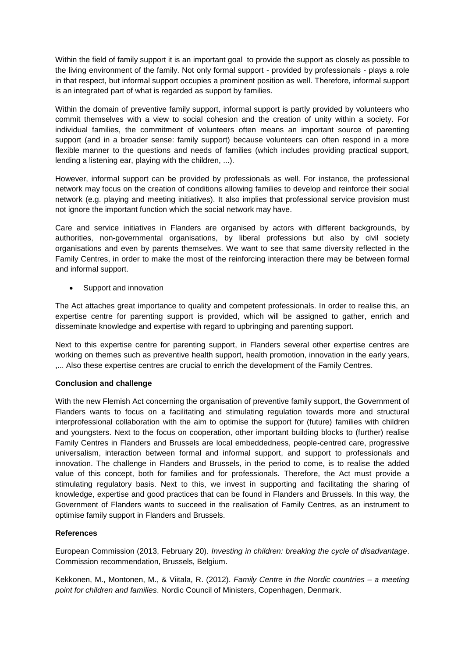Within the field of family support it is an important goal to provide the support as closely as possible to the living environment of the family. Not only formal support - provided by professionals - plays a role in that respect, but informal support occupies a prominent position as well. Therefore, informal support is an integrated part of what is regarded as support by families.

Within the domain of preventive family support, informal support is partly provided by volunteers who commit themselves with a view to social cohesion and the creation of unity within a society. For individual families, the commitment of volunteers often means an important source of parenting support (and in a broader sense: family support) because volunteers can often respond in a more flexible manner to the questions and needs of families (which includes providing practical support, lending a listening ear, playing with the children, ...).

However, informal support can be provided by professionals as well. For instance, the professional network may focus on the creation of conditions allowing families to develop and reinforce their social network (e.g. playing and meeting initiatives). It also implies that professional service provision must not ignore the important function which the social network may have.

Care and service initiatives in Flanders are organised by actors with different backgrounds, by authorities, non-governmental organisations, by liberal professions but also by civil society organisations and even by parents themselves. We want to see that same diversity reflected in the Family Centres, in order to make the most of the reinforcing interaction there may be between formal and informal support.

• Support and innovation

The Act attaches great importance to quality and competent professionals. In order to realise this, an expertise centre for parenting support is provided, which will be assigned to gather, enrich and disseminate knowledge and expertise with regard to upbringing and parenting support.

Next to this expertise centre for parenting support, in Flanders several other expertise centres are working on themes such as preventive health support, health promotion, innovation in the early years, ,... Also these expertise centres are crucial to enrich the development of the Family Centres.

# **Conclusion and challenge**

With the new Flemish Act concerning the organisation of preventive family support, the Government of Flanders wants to focus on a facilitating and stimulating regulation towards more and structural interprofessional collaboration with the aim to optimise the support for (future) families with children and youngsters. Next to the focus on cooperation, other important building blocks to (further) realise Family Centres in Flanders and Brussels are local embeddedness, people-centred care, progressive universalism, interaction between formal and informal support, and support to professionals and innovation. The challenge in Flanders and Brussels, in the period to come, is to realise the added value of this concept, both for families and for professionals. Therefore, the Act must provide a stimulating regulatory basis. Next to this, we invest in supporting and facilitating the sharing of knowledge, expertise and good practices that can be found in Flanders and Brussels. In this way, the Government of Flanders wants to succeed in the realisation of Family Centres, as an instrument to optimise family support in Flanders and Brussels.

# **References**

European Commission (2013, February 20). *Investing in children: breaking the cycle of disadvantage*. Commission recommendation, Brussels, Belgium.

Kekkonen, M., Montonen, M., & Viitala, R. (2012). *Family Centre in the Nordic countries – a meeting point for children and families*. Nordic Council of Ministers, Copenhagen, Denmark.